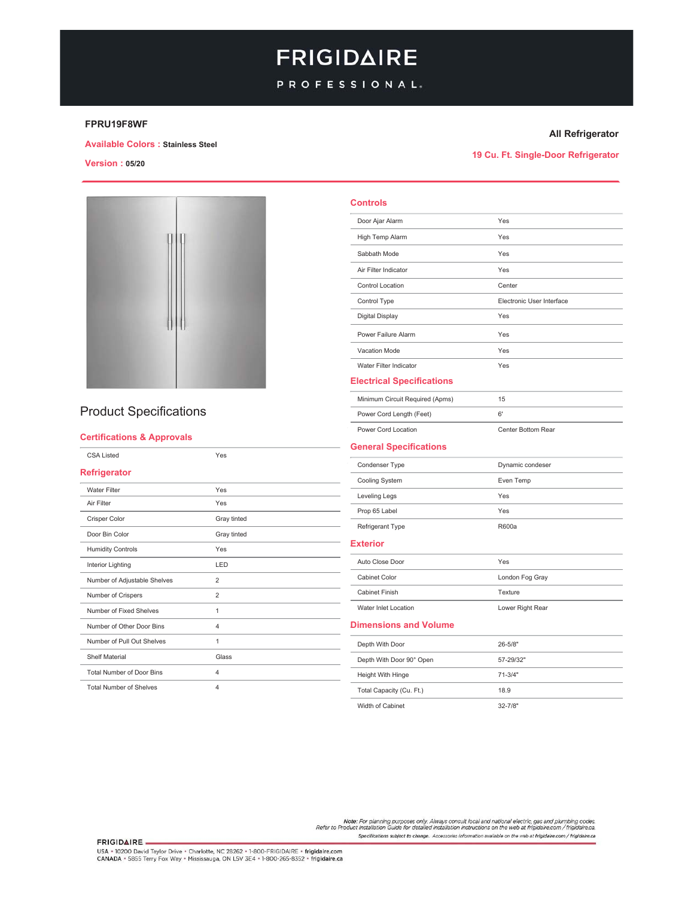# **FRIGIDAIRE**

### PROFESSIONAL.

### FPRU19F8WF

#### **All Refrigerator**

**Available Colors : Stainless Steel** 

**Version: 05/20** 

19 Cu. Ft. Single-Door Refrigerator



### **Product Specifications**

#### **Certifications & Approvals**

| <b>CSA Listed</b>                | Yes            |
|----------------------------------|----------------|
| <b>Refrigerator</b>              |                |
| <b>Water Filter</b>              | Yes            |
| Air Filter                       | Yes            |
| Crisper Color                    | Gray tinted    |
| Door Bin Color                   | Gray tinted    |
| <b>Humidity Controls</b>         | Yes            |
| Interior Lighting                | LED            |
| Number of Adjustable Shelves     | $\overline{2}$ |
| Number of Crispers               | $\overline{2}$ |
| Number of Fixed Shelves          | 1              |
| Number of Other Door Bins        | $\overline{4}$ |
| Number of Pull Out Shelves       | 1              |
| <b>Shelf Material</b>            | Glass          |
| <b>Total Number of Door Bins</b> | $\overline{4}$ |
| <b>Total Number of Shelves</b>   | $\overline{4}$ |

| <b>Controls</b>                  |                           |
|----------------------------------|---------------------------|
| Door Ajar Alarm                  | Yes                       |
| High Temp Alarm                  | Yes                       |
| Sabbath Mode                     | Yes                       |
| Air Filter Indicator             | Yes                       |
| Control Location                 | Center                    |
| Control Type                     | Electronic User Interface |
| Digital Display                  | Yes                       |
| Power Failure Alarm              | Yes                       |
| Vacation Mode                    | Yes                       |
| Water Filter Indicator           | Yes                       |
| <b>Electrical Specifications</b> |                           |
| Minimum Circuit Required (Apms)  | 15                        |
| Power Cord Length (Feet)         | 6'                        |
| Power Cord Location              | Center Bottom Rear        |
| <b>General Specifications</b>    |                           |
| Condenser Type                   | Dynamic condeser          |
| Cooling System                   | Even Temp                 |
| Leveling Legs                    | Yes                       |
| Prop 65 Label                    | Yes                       |
| Refrigerant Type                 | R600a                     |
| <b>Exterior</b>                  |                           |
| Auto Close Door                  | Yes                       |
| Cabinet Color                    | London Fog Gray           |
| <b>Cabinet Finish</b>            | Texture                   |
| Water Inlet Location             | Lower Right Rear          |
| <b>Dimensions and Volume</b>     |                           |
| Depth With Door                  | 26-5/8"                   |
| Depth With Door 90° Open         | 57-29/32"                 |
| Height With Hinge                | $71 - 3/4"$               |
| Total Capacity (Cu. Ft.)         | 18.9                      |

 $32 - 7/8"$ 

Width of Cabinet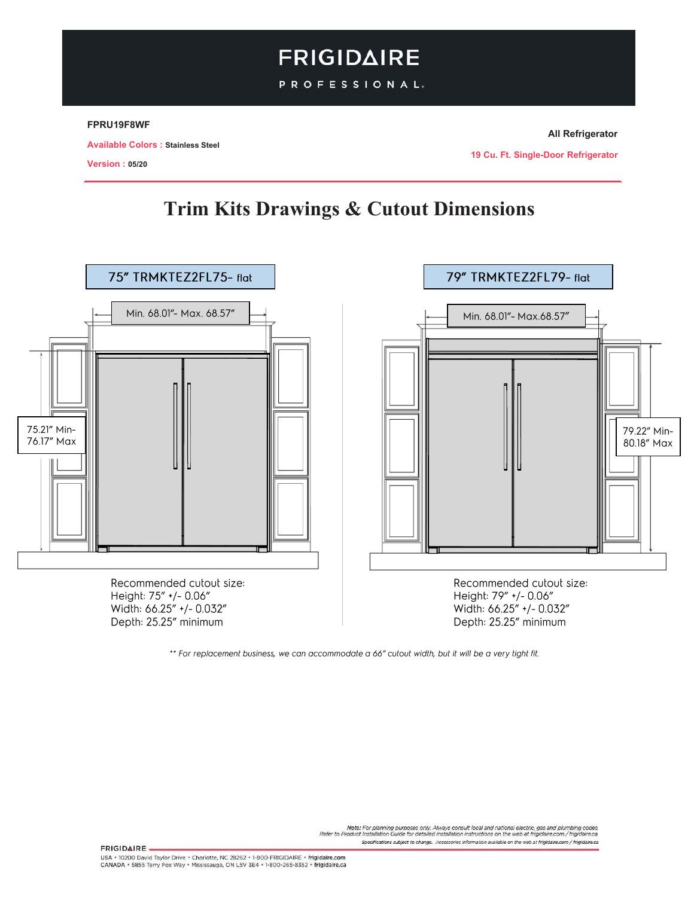# **FRIGIDAIRE**

PROFESSIONAL.

#### FPRU19F8WF

**Available Colors: Stainless Steel** 

**19 Cu. Ft. Single-Door Refrigerator** 

## **Trim Kits Drawings & Cutout Dimensions**



\*\* For replacement business, we can accommodate a 66" cutout width, but it will be a very tight fit.